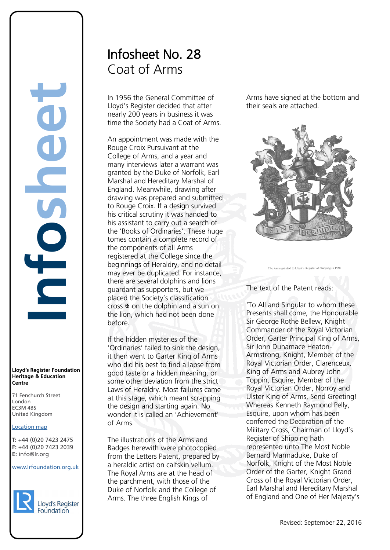## **Lloyd's Register Foundation Heritage & Education Centre**

71 Fenchurch Street 7 Thematen Server<br>London EC3M 4BS United Kingdom

## Location map

T: +44 (0)20 7423 2475 **F:** +44 (0)20 7423 2039 Fax: +44 (0)20 7423 2039 **E:** info@lr.org  $E \rightarrow 0/20$   $1 + 23$  2033

## www.lrfoundation.org.uk



## Infosheet No. 28 Coat of Arms

In 1956 the General Committee of Lloyd's Register decided that after nearly 200 years in business it was time the Society had a Coat of Arms.

An appointment was made with the Rouge Croix Pursuivant at the College of Arms, and a year and many interviews later a warrant was granted by the Duke of Norfolk, Earl Marshal and Hereditary Marshal of England. Meanwhile, drawing after drawing was prepared and submitted to Rouge Croix. If a design survived his critical scrutiny it was handed to his assistant to carry out a search of the 'Books of Ordinaries'. These huge tomes contain a complete record of the components of all Arms registered at the College since the beginnings of Heraldry, and no detail may ever be duplicated. For instance, there are several dolphins and lions guardant as supporters, but we placed the Society's classification cross  $\mathbf \Psi$  on the dolphin and a sun on the lion, which had not been done before.

If the hidden mysteries of the 'Ordinaries' failed to sink the design, it then went to Garter King of Arms who did his best to find a lapse from good taste or a hidden meaning, or some other deviation from the strict Laws of Heraldry. Most failures came at this stage, which meant scrapping the design and starting again. No wonder it is called an 'Achievement' of Arms.

The illustrations of the Arms and Badges herewith were photocopied from the Letters Patent, prepared by a heraldic artist on calfskin vellum. The Royal Arms are at the head of the parchment, with those of the Duke of Norfolk and the College of Arms. The three English Kings of

Arms have signed at the bottom and their seals are attached.



The Arms granted to Lloyd's Register of Shipping in 195

The text of the Patent reads:

'To All and Singular to whom these Presents shall come, the Honourable Sir George Rothe Bellew, Knight Commander of the Royal Victorian Order, Garter Principal King of Arms, Sir John Dunamace Heaton-Armstrong, Knight, Member of the Royal Victorian Order, Clarenceux, King of Arms and Aubrey John Toppin, Esquire, Member of the Royal Victorian Order, Norroy and Ulster King of Arms, Send Greeting! Whereas Kenneth Raymond Pelly, Esquire, upon whom has been conferred the Decoration of the Military Cross, Chairman of Lloyd's Register of Shipping hath represented unto The Most Noble Bernard Marmaduke, Duke of Norfolk, Knight of the Most Noble Order of the Garter, Knight Grand Cross of the Royal Victorian Order, Earl Marshal and Hereditary Marshal of England and One of Her Majesty's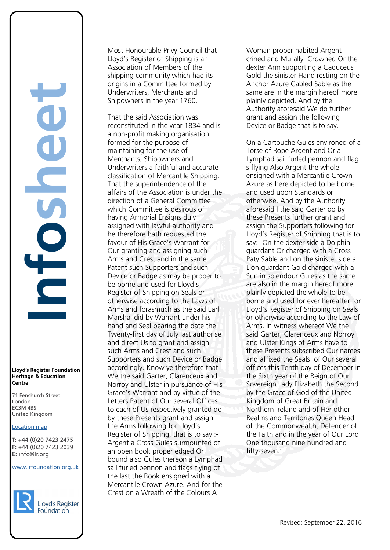### **Lloyd's Register Foundation Heritage & Education Centre**

71 Fenchurch Street 7 Thematen Server<br>London EC3M 4BS United Kingdom

## Location map

T: +44 (0)20 7423 2475 **F:** +44 (0)20 7423 2039 Fax: +44 (0)20 7423 2039 **E:** info@lr.org  $E \rightarrow 0/20$   $1 + 23$  2033

## www.lrfoundation.org.uk



Most Honourable Privy Council that Lloyd's Register of Shipping is an Association of Members of the shipping community which had its origins in a Committee formed by Underwriters, Merchants and Shipowners in the year 1760.

That the said Association was reconstituted in the year 1834 and is a non-profit making organisation formed for the purpose of maintaining for the use of Merchants, Shipowners and Underwriters a faithful and accurate classification of Mercantile Shipping. That the superintendence of the affairs of the Association is under the direction of a General Committee which Committee is desirous of having Armorial Ensigns duly assigned with lawful authority and he therefore hath requested the favour of His Grace's Warrant for Our granting and assigning such Arms and Crest and in the same Patent such Supporters and such Device or Badge as may be proper to be borne and used for Lloyd's Register of Shipping on Seals or otherwise according to the Laws of Arms and forasmuch as the said Earl Marshal did by Warrant under his hand and Seal bearing the date the Twenty-first day of July last authorise and direct Us to grant and assign such Arms and Crest and such Supporters and such Device or Badge accordingly. Know ye therefore that We the said Garter, Clarenceux and Norroy and Ulster in pursuance of His Grace's Warrant and by virtue of the Letters Patent of Our several Offices to each of Us respectively granted do by these Presents grant and assign the Arms following for Lloyd's Register of Shipping, that is to say :- Argent a Cross Gules surmounted of an open book proper edged Or bound also Gules thereon a Lymphad sail furled pennon and flags flying of the last the Book ensigned with a Mercantile Crown Azure. And for the Crest on a Wreath of the Colours A

Woman proper habited Argent crined and Murally Crowned Or the dexter Arm supporting a Caduceus Gold the sinister Hand resting on the Anchor Azure Cabled Sable as the same are in the margin hereof more plainly depicted. And by the Authority aforesaid We do further grant and assign the following Device or Badge that is to say.

On a Cartouche Gules environed of a Torse of Rope Argent and Or a Lymphad sail furled pennon and flag s flying Also Argent the whole ensigned with a Mercantile Crown Azure as here depicted to be borne and used upon Standards or otherwise. And by the Authority aforesaid I the said Garter do by these Presents further grant and assign the Supporters following for Lloyd's Register of Shipping that is to say:- On the dexter side a Dolphin guardant Or charged with a Cross Paty Sable and on the sinister side a Lion guardant Gold charged with a Sun in splendour Gules as the same are also in the margin hereof more plainly depicted the whole to be borne and used for ever hereafter for Lloyd's Register of Shipping on Seals or otherwise according to the Law of Arms. In witness whereof We the said Garter, Clarenceux and Norroy and Ulster Kings of Arms have to these Presents subscribed Our names and affixed the Seals of Our several offices this Tenth day of December in the Sixth year of the Reign of Our Sovereign Lady Elizabeth the Second by the Grace of God of the United Kingdom of Great Britain and Northern Ireland and of Her other Realms and Territories Queen Head of the Commonwealth, Defender of the Faith and in the year of Our Lord One thousand nine hundred and fifty-seven.'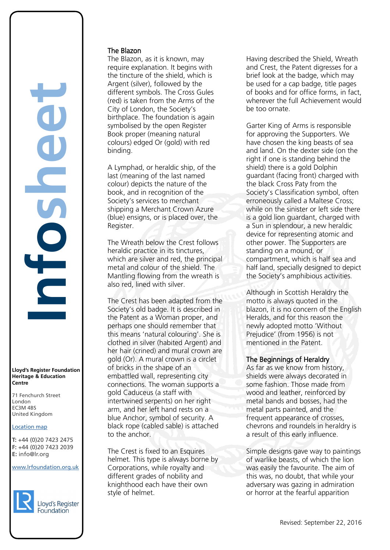## **Lloyd's Register Foundation Heritage & Education Centre**

71 Fenchurch Street 7 Thematen Server<br>London EC3M 4BS United Kingdom

## Location map

T: +44 (0)20 7423 2475 **F:** +44 (0)20 7423 2039 Fax: +44 (0)20 7423 2039 **E:** info@lr.org  $E \rightarrow 0/20$   $1 + 23$  2033

## www.lrfoundation.org.uk



## The Blazon

The Blazon, as it is known, may require explanation. It begins with the tincture of the shield, which is Argent (silver), followed by the different symbols. The Cross Gules (red) is taken from the Arms of the City of London, the Society's birthplace. The foundation is again symbolised by the open Register Book proper (meaning natural colours) edged Or (gold) with red binding.

A Lymphad, or heraldic ship, of the last (meaning of the last named colour) depicts the nature of the book, and in recognition of the Society's services to merchant shipping a Merchant Crown Azure (blue) ensigns, or is placed over, the Register.

The Wreath below the Crest follows heraldic practice in its tinctures, which are silver and red, the principal metal and colour of the shield. The Mantling flowing from the wreath is also red, lined with silver.

The Crest has been adapted from the Society's old badge. It is described in the Patent as a Woman proper, and perhaps one should remember that this means 'natural colouring'. She is clothed in silver (habited Argent) and her hair (crined) and mural crown are gold (Or). A mural crown is a circlet of bricks in the shape of an embattled wall, representing city connections. The woman supports a gold Caduceus (a staff with intertwined serpents) on her right arm, and her left hand rests on a blue Anchor, symbol of security. A black rope (cabled sable) is attached to the anchor.

The Crest is fixed to an Esquires helmet. This type is always borne by Corporations, while royalty and different grades of nobility and knighthood each have their own style of helmet.

Having described the Shield, Wreath and Crest, the Patent digresses for a brief look at the badge, which may be used for a cap badge, title pages of books and for office forms, in fact, wherever the full Achievement would be too ornate.

Garter King of Arms is responsible for approving the Supporters. We have chosen the king beasts of sea and land. On the dexter side (on the right if one is standing behind the shield) there is a gold Dolphin guardant (facing front) charged with the black Cross Paty from the Society's Classification symbol, often erroneously called a Maltese Cross; while on the sinister or left side there is a gold lion guardant, charged with a Sun in splendour, a new heraldic device for representing atomic and other power. The Supporters are standing on a mound, or compartment, which is half sea and half land, specially designed to depict the Society's amphibious activities.

Although in Scottish Heraldry the motto is always quoted in the blazon, it is no concern of the English Heralds, and for this reason the newly adopted motto 'Without Prejudice' (from 1956) is not mentioned in the Patent.

## The Beginnings of Heraldry

As far as we know from history, shields were always decorated in some fashion. Those made from wood and leather, reinforced by metal bands and bosses, had the metal parts painted, and the frequent appearance of crosses, chevrons and roundels in heraldry is a result of this early influence.

Simple designs gave way to paintings of warlike beasts, of which the lion was easily the favourite. The aim of this was, no doubt, that while your adversary was gazing in admiration or horror at the fearful apparition